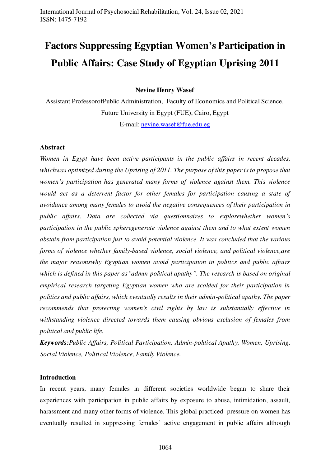# **Factors Suppressing Egyptian Women's Participation in Public Affairs: Case Study of Egyptian Uprising 2011**

**Nevine Henry Wasef** 

Assistant ProfessorofPublic Administration, Faculty of Economics and Political Science, Future University in Egypt (FUE), Cairo, Egypt E-mail: [nevine.wasef@fue.edu.eg](mailto:nevine.wasef@fue.edu.eg)

#### **Abstract**

*Women in Egypt have been active participants in the public affairs in recent decades, whichwas optimized during the Uprising of 2011. The purpose of this paper is to propose that women's participation has generated many forms of violence against them. This violence would act as a deterrent factor for other females for participation causing a state of avoidance among many females to avoid the negative consequences of their participation in public affairs. Data are collected via questionnaires to explorewhether women's participation in the public spheregenerate violence against them and to what extent women abstain from participation just to avoid potential violence. It was concluded that the various forms of violence whether family-based violence, social violence, and political violence,are the major reasonswhy Egyptian women avoid participation in politics and public affairs which is defined in this paper as"admin-political apathy". The research is based on original empirical research targeting Egyptian women who are scolded for their participation in politics and public affairs, which eventually results in their admin-political apathy. The paper recommends that protecting women's civil rights by law is substantially effective in withstanding violence directed towards them causing obvious exclusion of females from political and public life.* 

*Keywords:Public Affairs, Political Participation, Admin-political Apathy, Women, Uprising, Social Violence, Political Violence, Family Violence.* 

#### **Introduction**

In recent years, many females in different societies worldwide began to share their experiences with participation in public affairs by exposure to abuse, intimidation, assault, harassment and many other forms of violence. This global practiced pressure on women has eventually resulted in suppressing females' active engagement in public affairs although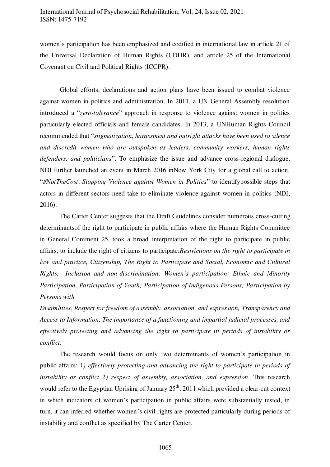women's participation has been emphasized and codified in international law in article 21 of the Universal Declaration of Human Rights (UDHR), and article 25 of the International Covenant on Civil and Political Rights (ICCPR).

Global efforts, declarations and action plans have been issued to combat violence against women in politics and administration. In 2011, a UN General Assembly resolution introduced a "*zero-tolerance*" approach in response to violence against women in politics particularly elected officials and female candidates. In 2013, a UNHuman Rights Council recommended that "*stigmatization, harassment and outright attacks have been used to silence and discredit women who are outspoken as leaders, community workers, human rights defenders, and politicians*". To emphasize the issue and advance cross-regional dialogue, NDI further launched an event in March 2016 inNew York City for a global call to action, "*#NotTheCost*: *Stopping Violence against Women in Politics*" to identifypossible steps that actors in different sectors need take to eliminate violence against women in politics (NDI, 2016).

The Carter Center suggests that the Draft Guidelines consider numerous cross-cutting determinantsof the right to participate in public affairs where the Human Rights Committee in General Comment 25, took a broad interpretation of the right to participate in public affairs, to include the right of citizens to participate:*Restrictions on the right to participate in law and practice, Citizenship, The Right to Participate and Social, Economic and Cultural Rights, Inclusion and non-discrimination: Women's participation; Ethnic and Minority Participation, Participation of Youth; Participation of Indigenous Persons; Participation by Persons with* 

*Disabilities, Respect for freedom of assembly, association, and expression, Transparency and Access to Information, The importance of a functioning and impartial judicial processes, and effectively protecting and advancing the right to participate in periods of instability or conflict.* 

The research would focus on only two determinants of women's participation in public affairs: 1*) effectively protecting and advancing the right to participate in periods of instability or conflict 2) respect of assembly, association, and expression. This research* would refer to the Egyptian Uprising of January  $25<sup>th</sup>$ , 2011 which provided a clear-cut context in which indicators of women's participation in public affairs were substantially tested, in turn, it can inferred whether women's civil rights are protected particularly during periods of instability and conflict as specified by The Carter Center.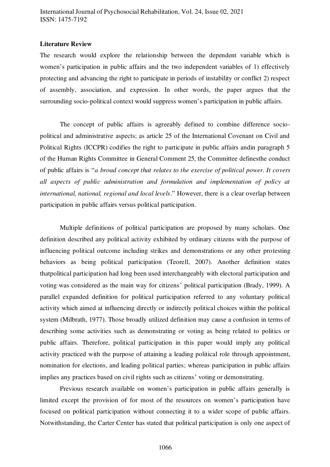## **Literature Review**

The research would explore the relationship between the dependent variable which is women's participation in public affairs and the two independent variables of 1) effectively protecting and advancing the right to participate in periods of instability or conflict 2) respect of assembly, association, and expression. In other words, the paper argues that the surrounding socio-political context would suppress women's participation in public affairs.

The concept of public affairs is agreeably defined to combine difference sociopolitical and administrative aspects; as article 25 of the International Covenant on Civil and Political Rights (ICCPR) codifies the right to participate in public affairs andin paragraph 5 of the Human Rights Committee in General Comment 25, the Committee definesthe conduct of public affairs is "*a broad concept that relates to the exercise of political power. It covers all aspects of public administration and formulation and implementation of policy at international, national, regional and local levels*." However, there is a clear overlap between participation in public affairs versus political participation.

Multiple definitions of political participation are proposed by many scholars. One definition described any political activity exhibited by ordinary citizens with the purpose of influencing political outcome including strikes and demonstrations or any other protesting behaviors as being political participation (Teorell, 2007). Another definition states thatpolitical participation had long been used interchangeably with electoral participation and voting was considered as the main way for citizens' political participation (Brady, 1999). A parallel expanded definition for political participation referred to any voluntary political activity which aimed at influencing directly or indirectly political choices within the political system (Milbrath, 1977). Those broadly utilized definition may cause a confusion in terms of describing some activities such as demonstrating or voting as being related to politics or public affairs. Therefore, political participation in this paper would imply any political activity practiced with the purpose of attaining a leading political role through appointment, nomination for elections, and leading political parties; whereas participation in public affairs implies any practices based on civil rights such as citizens' voting or demonstrating.

Previous research available on women's participation in public affairs generally is limited except the provision of for most of the resources on women's participation have focused on political participation without connecting it to a wider scope of public affairs. Notwithstanding, the Carter Center has stated that political participation is only one aspect of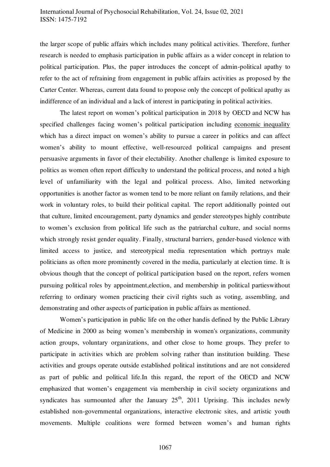# International Journal of Psychosocial Rehabilitation, Vol. 24, Issue 02, 2021 ISSN: 1475-7192

the larger scope of public affairs which includes many political activities. Therefore, further research is needed to emphasis participation in public affairs as a wider concept in relation to political participation. Plus, the paper introduces the concept of admin-political apathy to refer to the act of refraining from engagement in public affairs activities as proposed by the Carter Center. Whereas, current data found to propose only the concept of political apathy as indifference of an individual and a lack of interest in participating in political activities.

The latest report on women's political participation in 2018 by OECD and NCW has specified challenges facing women's political participation including economic inequality which has a direct impact on women's ability to pursue a career in politics and can affect women's ability to mount effective, well-resourced political campaigns and present persuasive arguments in favor of their electability. Another challenge is limited exposure to politics as women often report difficulty to understand the political process, and noted a high level of unfamiliarity with the legal and political process. Also, limited networking opportunities is another factor as women tend to be more reliant on family relations, and their work in voluntary roles, to build their political capital. The report additionally pointed out that culture, limited encouragement, party dynamics and gender stereotypes highly contribute to women's exclusion from political life such as the patriarchal culture, and social norms which strongly resist gender equality. Finally, structural barriers, gender-based violence with limited access to justice, and stereotypical media representation which portrays male politicians as often more prominently covered in the media, particularly at election time. It is obvious though that the concept of political participation based on the report, refers women pursuing political roles by appointment,election, and membership in political partieswithout referring to ordinary women practicing their civil rights such as voting, assembling, and demonstrating and other aspects of participation in public affairs as mentioned.

 Women's participation in public life on the other handis defined by the Public Library of Medicine in 2000 as being women's membership in women's organizations, community action groups, voluntary organizations, and other close to home groups. They prefer to participate in activities which are problem solving rather than institution building. These activities and groups operate outside established political institutions and are not considered as part of public and political life.In this regard, the report of the OECD and NCW emphasized that women's engagement via membership in civil society organizations and syndicates has surmounted after the January  $25<sup>th</sup>$ , 2011 Uprising. This includes newly established non-governmental organizations, interactive electronic sites, and artistic youth movements. Multiple coalitions were formed between women's and human rights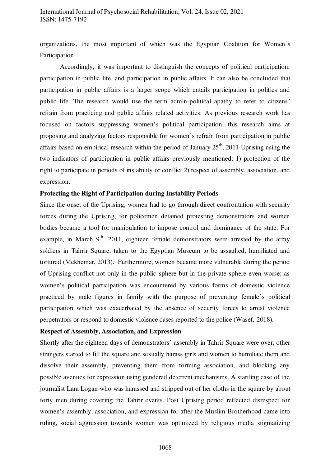organizations, the most important of which was the Egyptian Coalition for Women's Participation.

Accordingly, it was important to distinguish the concepts of political participation, participation in public life, and participation in public affairs. It can also be concluded that participation in public affairs is a larger scope which entails participation in politics and public life. The research would use the term admin-political apathy to refer to citizens' refrain from practicing and public affairs related activities. As previous research work has focused on factors suppressing women's political participation, this research aims at proposing and analyzing factors responsible for women's refrain from participation in public affairs based on empirical research within the period of January  $25<sup>th</sup>$ , 2011 Uprising using the two indicators of participation in public affairs previously mentioned: 1) protection of the right to participate in periods of instability or conflict 2) respect of assembly, association, and expression.

### **Protecting the Right of Participation during Instability Periods**

Since the onset of the Uprising, women had to go through direct confrontation with security forces during the Uprising, for policemen detained protesting demonstrators and women bodies became a tool for manipulation to impose control and dominance of the state. For example, in March  $9<sup>th</sup>$ , 2011, eighteen female demonstrators were arrested by the army soldiers in Tahrir Square, taken to the Egyptian Museum to be assaulted, humiliated and tortured (Mekhemar, 2013). Furthermore, women became more vulnerable during the period of Uprising conflict not only in the public sphere but in the private sphere even worse; as women's political participation was encountered by various forms of domestic violence practiced by male figures in family with the purpose of preventing female's political participation which was exacerbated by the absence of security forces to arrest violence perpetrators or respond to domestic violence cases reported to the police (Wasef, 2018).

## **Respect of Assembly, Association, and Expression**

Shortly after the eighteen days of demonstrators' assembly in Tahrir Square were over, other strangers started to fill the square and sexually harass girls and women to humiliate them and dissolve their assembly, preventing them from forming association, and blocking any possible avenues for expression using gendered deterrent mechanisms. A startling case of the journalist Lara Logan who was harassed and stripped out of her cloths in the square by about forty men during covering the Tahrir events. Post Uprising period reflected disrespect for women's assembly, association, and expression for after the Muslim Brotherhood came into ruling, social aggression towards women was optimized by religious media stigmatizing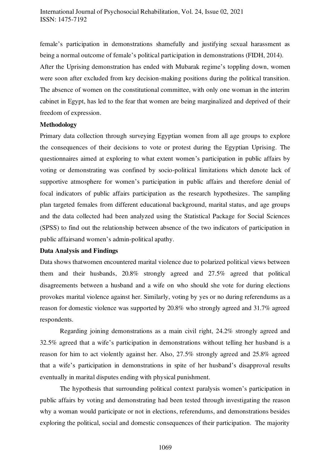female's participation in demonstrations shamefully and justifying sexual harassment as being a normal outcome of female's political participation in demonstrations (FIDH, 2014). After the Uprising demonstration has ended with Mubarak regime's toppling down, women were soon after excluded from key decision-making positions during the political transition. The absence of women on the constitutional committee, with only one woman in the interim cabinet in Egypt, has led to the fear that women are being marginalized and deprived of their freedom of expression.

## **Methodology**

Primary data collection through surveying Egyptian women from all age groups to explore the consequences of their decisions to vote or protest during the Egyptian Uprising. The questionnaires aimed at exploring to what extent women's participation in public affairs by voting or demonstrating was confined by socio-political limitations which denote lack of supportive atmosphere for women's participation in public affairs and therefore denial of focal indicators of public affairs participation as the research hypothesizes. The sampling plan targeted females from different educational background, marital status, and age groups and the data collected had been analyzed using the Statistical Package for Social Sciences (SPSS) to find out the relationship between absence of the two indicators of participation in public affairsand women's admin-political apathy.

#### **Data Analysis and Findings**

Data shows thatwomen encountered marital violence due to polarized political views between them and their husbands, 20.8% strongly agreed and 27.5% agreed that political disagreements between a husband and a wife on who should she vote for during elections provokes marital violence against her. Similarly, voting by yes or no during referendums as a reason for domestic violence was supported by 20.8% who strongly agreed and 31.7% agreed respondents.

Regarding joining demonstrations as a main civil right, 24.2% strongly agreed and 32.5% agreed that a wife's participation in demonstrations without telling her husband is a reason for him to act violently against her. Also, 27.5% strongly agreed and 25.8% agreed that a wife's participation in demonstrations in spite of her husband's disapproval results eventually in marital disputes ending with physical punishment.

The hypothesis that surrounding political context paralysis women's participation in public affairs by voting and demonstrating had been tested through investigating the reason why a woman would participate or not in elections, referendums, and demonstrations besides exploring the political, social and domestic consequences of their participation. The majority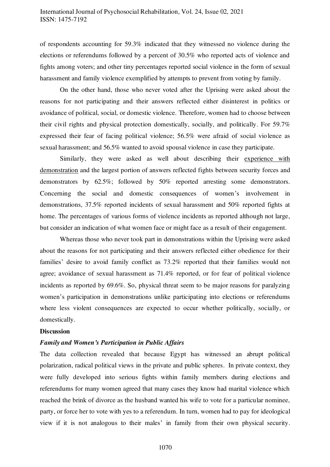# International Journal of Psychosocial Rehabilitation, Vol. 24, Issue 02, 2021 ISSN: 1475-7192

of respondents accounting for 59.3% indicated that they witnessed no violence during the elections or referendums followed by a percent of 30.5% who reported acts of violence and fights among voters; and other tiny percentages reported social violence in the form of sexual harassment and family violence exemplified by attempts to prevent from voting by family.

On the other hand, those who never voted after the Uprising were asked about the reasons for not participating and their answers reflected either disinterest in politics or avoidance of political, social, or domestic violence. Therefore, women had to choose between their civil rights and physical protection domestically, socially, and politically. For 59.7% expressed their fear of facing political violence; 56.5% were afraid of social vio lence as sexual harassment; and 56.5% wanted to avoid spousal violence in case they participate.

Similarly, they were asked as well about describing their experience with demonstration and the largest portion of answers reflected fights between security forces and demonstrators by 62.5%; followed by 50% reported arresting some demonstrators. Concerning the social and domestic consequences of women's involvement in demonstrations, 37.5% reported incidents of sexual harassment and 50% reported fights at home. The percentages of various forms of violence incidents as reported although not large, but consider an indication of what women face or might face as a result of their engagement.

Whereas those who never took part in demonstrations within the Uprising were asked about the reasons for not participating and their answers reflected either obedience for their families' desire to avoid family conflict as 73.2% reported that their families would not agree; avoidance of sexual harassment as 71.4% reported, or for fear of political violence incidents as reported by 69.6%. So, physical threat seem to be major reasons for paralyzing women's participation in demonstrations unlike participating into elections or referendums where less violent consequences are expected to occur whether politically, socially, or domestically.

### **Discussion**

## *Family and Women's Participation in Public Affairs*

The data collection revealed that because Egypt has witnessed an abrupt political polarization, radical political views in the private and public spheres. In private context, they were fully developed into serious fights within family members during elections and referendums for many women agreed that many cases they know had marital violence which reached the brink of divorce as the husband wanted his wife to vote for a particular nominee, party, or force her to vote with yes to a referendum. In turn, women had to pay for ideological view if it is not analogous to their males' in family from their own physical security.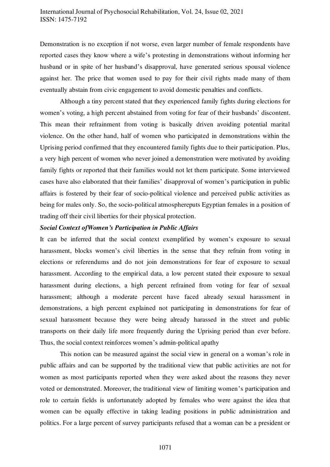Demonstration is no exception if not worse, even larger number of female respondents have reported cases they know where a wife's protesting in demonstrations without informing her husband or in spite of her husband's disapproval, have generated serious spousal violence against her. The price that women used to pay for their civil rights made many of them eventually abstain from civic engagement to avoid domestic penalties and conflicts.

Although a tiny percent stated that they experienced family fights during elections for women's voting, a high percent abstained from voting for fear of their husbands' discontent. This mean their refrainment from voting is basically driven avoiding potential marital violence. On the other hand, half of women who participated in demonstrations within the Uprising period confirmed that they encountered family fights due to their participation. Plus, a very high percent of women who never joined a demonstration were motivated by avoiding family fights or reported that their families would not let them participate. Some interviewed cases have also elaborated that their families' disapproval of women's participation in public affairs is fostered by their fear of socio-political violence and perceived public activities as being for males only. So, the socio-political atmosphereputs Egyptian females in a position of trading off their civil liberties for their physical protection.

## *Social Context ofWomen's Participation in Public Affairs*

It can be inferred that the social context exemplified by women's exposure to sexual harassment, blocks women's civil liberties in the sense that they refrain from voting in elections or referendums and do not join demonstrations for fear of exposure to sexual harassment. According to the empirical data, a low percent stated their exposure to sexual harassment during elections, a high percent refrained from voting for fear of sexual harassment; although a moderate percent have faced already sexual harassment in demonstrations, a high percent explained not participating in demonstrations for fear of sexual harassment because they were being already harassed in the street and public transports on their daily life more frequently during the Uprising period than ever before. Thus, the social context reinforces women's admin-political apathy

This notion can be measured against the social view in general on a woman's role in public affairs and can be supported by the traditional view that public activities are not for women as most participants reported when they were asked about the reasons they never voted or demonstrated. Moreover, the traditional view of limiting women's participation and role to certain fields is unfortunately adopted by females who were against the idea that women can be equally effective in taking leading positions in public administration and politics. For a large percent of survey participants refused that a woman can be a president or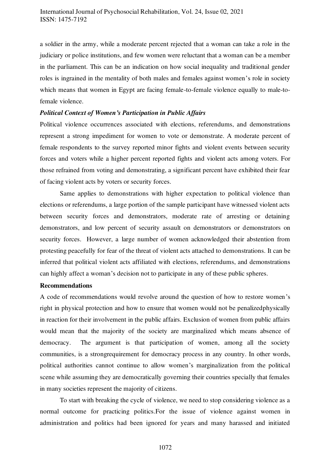a soldier in the army, while a moderate percent rejected that a woman can take a role in the judiciary or police institutions, and few women were reluctant that a woman can be a member in the parliament. This can be an indication on how social inequality and traditional gender roles is ingrained in the mentality of both males and females against women's role in society which means that women in Egypt are facing female-to-female violence equally to male-tofemale violence.

## *Political Context of Women's Participation in Public Affairs*

Political violence occurrences associated with elections, referendums, and demonstrations represent a strong impediment for women to vote or demonstrate. A moderate percent of female respondents to the survey reported minor fights and violent events between security forces and voters while a higher percent reported fights and violent acts among voters. For those refrained from voting and demonstrating, a significant percent have exhibited their fear of facing violent acts by voters or security forces.

Same applies to demonstrations with higher expectation to political violence than elections or referendums, a large portion of the sample participant have witnessed violent acts between security forces and demonstrators, moderate rate of arresting or detaining demonstrators, and low percent of security assault on demonstrators or demonstrators on security forces. However, a large number of women acknowledged their abstention from protesting peacefully for fear of the threat of violent acts attached to demonstrations. It can be inferred that political violent acts affiliated with elections, referendums, and demonstrations can highly affect a woman's decision not to participate in any of these public spheres.

## **Recommendations**

A code of recommendations would revolve around the question of how to restore women's right in physical protection and how to ensure that women would not be penalizedphysically in reaction for their involvement in the public affairs. Exclusion of women from public affairs would mean that the majority of the society are marginalized which means absence of democracy. The argument is that participation of women, among all the society communities, is a strongrequirement for democracy process in any country. In other words, political authorities cannot continue to allow women's marginalization from the political scene while assuming they are democratically governing their countries specially that females in many societies represent the majority of citizens.

To start with breaking the cycle of violence, we need to stop considering violence as a normal outcome for practicing politics.For the issue of violence against women in administration and politics had been ignored for years and many harassed and initiated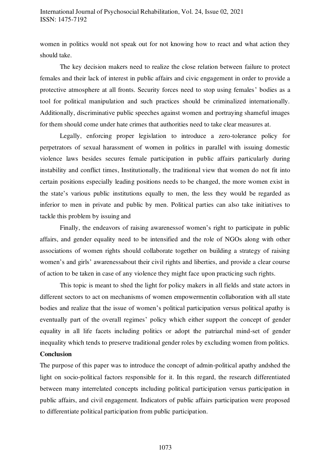# International Journal of Psychosocial Rehabilitation, Vol. 24, Issue 02, 2021 ISSN: 1475-7192

women in politics would not speak out for not knowing how to react and what action they should take.

The key decision makers need to realize the close relation between failure to protect females and their lack of interest in public affairs and civic engagement in order to provide a protective atmosphere at all fronts. Security forces need to stop using females' bodies as a tool for political manipulation and such practices should be criminalized internationally. Additionally, discriminative public speeches against women and portraying shameful images for them should come under hate crimes that authorities need to take clear measures at.

Legally, enforcing proper legislation to introduce a zero-tolerance policy for perpetrators of sexual harassment of women in politics in parallel with issuing domestic violence laws besides secures female participation in public affairs particularly during instability and conflict times, Institutionally, the traditional view that women do not fit into certain positions especially leading positions needs to be changed, the more women exist in the state's various public institutions equally to men, the less they would be regarded as inferior to men in private and public by men. Political parties can also take initiatives to tackle this problem by issuing and

Finally, the endeavors of raising awarenessof women's right to participate in public affairs, and gender equality need to be intensified and the role of NGOs along with other associations of women rights should collaborate together on building a strategy of raising women's and girls' awarenessabout their civil rights and liberties, and provide a clear course of action to be taken in case of any violence they might face upon practicing such rights.

This topic is meant to shed the light for policy makers in all fields and state actors in different sectors to act on mechanisms of women empowermentin collaboration with all state bodies and realize that the issue of women's political participation versus political apathy is eventually part of the overall regimes' policy which either support the concept of gender equality in all life facets including politics or adopt the patriarchal mind-set of gender inequality which tends to preserve traditional gender roles by excluding women from politics.

# **Conclusion**

The purpose of this paper was to introduce the concept of admin-political apathy andshed the light on socio-political factors responsible for it. In this regard, the research differentiated between many interrelated concepts including political participation versus participation in public affairs, and civil engagement. Indicators of public affairs participation were proposed to differentiate political participation from public participation.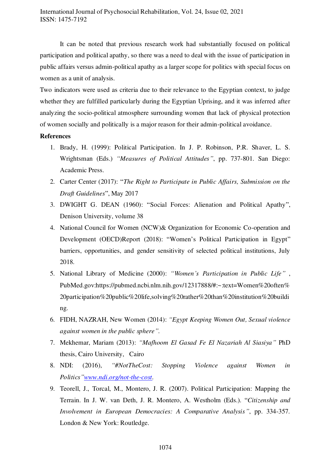It can be noted that previous research work had substantially focused on political participation and political apathy, so there was a need to deal with the issue of participation in public affairs versus admin-political apathy as a larger scope for politics with special focus on women as a unit of analysis.

Two indicators were used as criteria due to their relevance to the Egyptian context, to judge whether they are fulfilled particularly during the Egyptian Uprising, and it was inferred after analyzing the socio-political atmosphere surrounding women that lack of physical protection of women socially and politically is a major reason for their admin-political avoidance.

### **References**

- 1. Brady, H. (1999): Political Participation. In J. P. Robinson, P.R. Shaver, L. S. Wrightsman (Eds.) *"Measures of Political Attitudes"*, pp. 737-801. San Diego: Academic Press.
- 2. Carter Center (2017): "*The Right to Participate in Public Affairs, Submission on the Draft Guidelines*", May 2017
- 3. DWIGHT G. DEAN (1960): "Social Forces: Alienation and Political Apathy", Denison University, volume 38
- 4. National Council for Women (NCW)& Organization for Economic Co-operation and Development (OECD)Report (2018): "Women's Political Participation in Egypt" barriers, opportunities, and gender sensitivity of selected political institutions, July 2018.
- 5. National Library of Medicine (2000): *"Women's Participation in Public Life"* , PubMed.gov:https://pubmed.ncbi.nlm.nih.gov/12317888/#:~:text=Women%20often% 20participation%20public%20life,solving%20rather%20than%20institution%20buildi ng.
- 6. FIDH, NAZRAH, New Women (2014): *"Egypt Keeping Women Out, Sexual violence against women in the public sphere".*
- 7. Mekhemar, Mariam (2013): *"Mafhoom El Gasad Fe El Nazariah Al Siasiya"* PhD thesis, Cairo University, Cairo
- 8. NDI: (2016), *"#NotTheCost: Stopping Violence against Women in Politics"[www.ndi.org/not-the-cost.](http://www.ndi.org/not-the-cost)*
- 9. Teorell, J., Torcal, M., Montero, J. R. (2007). Political Participation: Mapping the Terrain. In J. W. van Deth, J. R. Montero, A. Westholm (Eds.). "*Citizenship and Involvement in European Democracies: A Comparative Analysis"*, pp. 334-357. London & New York: Routledge.